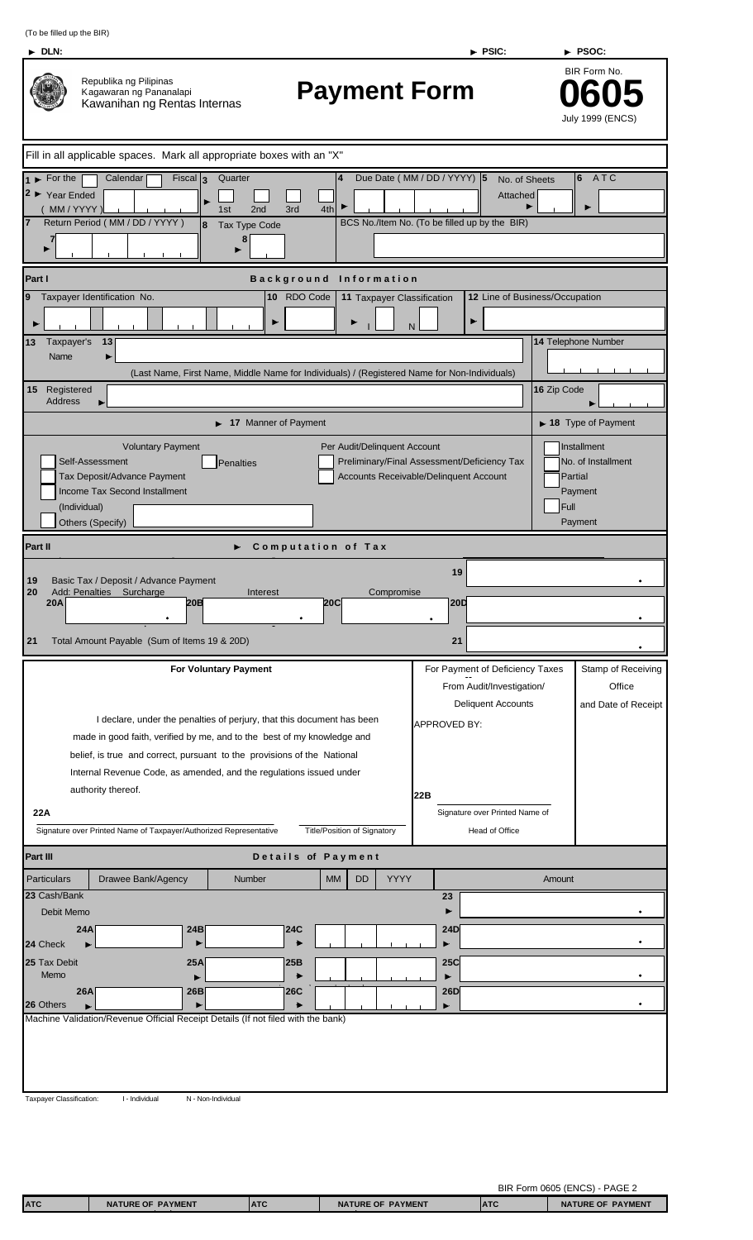| ч. |  |
|----|--|
| ۱  |  |

| Republika ng Pilipinas<br>Kagawaran ng Pananalapi | Kawanihan ng Rentas Internas |
|---------------------------------------------------|------------------------------|
| مممممم ماطممالممم الم                             | $M$ orle all annua           |

## **Payment Form 0605**

BIR Form No. July 1999 (ENCS)

| Fill in all applicable spaces. Mark all appropriate boxes with an "X"                                                                          |                                                                                              |                                               |                                               |                                          |  |
|------------------------------------------------------------------------------------------------------------------------------------------------|----------------------------------------------------------------------------------------------|-----------------------------------------------|-----------------------------------------------|------------------------------------------|--|
| Calendar<br>$\blacktriangleright$ For the                                                                                                      | $Fiscal \vert 3$<br>Quarter                                                                  | Due Date (MM / DD / YYYY) 5<br>$\overline{4}$ |                                               | $ 6\rangle$<br>ATC<br>No. of Sheets      |  |
| $2 \triangleright$ Year Ended                                                                                                                  |                                                                                              |                                               | Attached                                      |                                          |  |
| (MM/YYYY<br>Return Period (MM / DD / YYYY)                                                                                                     | 2 <sub>nd</sub><br>3rd<br>1st<br>Tax Type Code<br>8                                          | 4th                                           | BCS No./Item No. (To be filled up by the BIR) |                                          |  |
|                                                                                                                                                | 8                                                                                            |                                               |                                               |                                          |  |
| ▶                                                                                                                                              |                                                                                              |                                               |                                               |                                          |  |
| Part I                                                                                                                                         | <b>Background</b>                                                                            | <b>Information</b>                            |                                               |                                          |  |
| Taxpayer Identification No.<br>9                                                                                                               | 10 RDO Code                                                                                  | 11 Taxpayer Classification                    |                                               | 12 Line of Business/Occupation           |  |
|                                                                                                                                                |                                                                                              | ▶<br>$\mathsf{N}$                             | ▶                                             |                                          |  |
| 13<br>Taxpayer's<br>13                                                                                                                         |                                                                                              |                                               |                                               | 14 Telephone Number                      |  |
| Name                                                                                                                                           |                                                                                              |                                               |                                               |                                          |  |
|                                                                                                                                                | (Last Name, First Name, Middle Name for Individuals) / (Registered Name for Non-Individuals) |                                               |                                               |                                          |  |
| 15<br>Registered<br><b>Address</b>                                                                                                             |                                                                                              |                                               |                                               | 16 Zip Code                              |  |
|                                                                                                                                                | 17 Manner of Payment                                                                         |                                               |                                               | $\blacktriangleright$ 18 Type of Payment |  |
| <b>Voluntary Payment</b>                                                                                                                       |                                                                                              | Per Audit/Delinquent Account                  |                                               | Installment                              |  |
| Self-Assessment                                                                                                                                | <b>Penalties</b>                                                                             |                                               | Preliminary/Final Assessment/Deficiency Tax   | No. of Installment                       |  |
| Tax Deposit/Advance Payment                                                                                                                    |                                                                                              | Accounts Receivable/Delinquent Account        |                                               | Partial                                  |  |
| Income Tax Second Installment<br>(Individual)                                                                                                  |                                                                                              |                                               |                                               | Payment<br>Full                          |  |
| Others (Specify)                                                                                                                               |                                                                                              |                                               |                                               | Payment                                  |  |
| Part II                                                                                                                                        |                                                                                              | <b>Computation of Tax</b>                     |                                               |                                          |  |
|                                                                                                                                                |                                                                                              |                                               | 19                                            |                                          |  |
| Basic Tax / Deposit / Advance Payment<br>19<br>20<br>Add: Penalties Surcharge                                                                  | Interest                                                                                     | Compromise                                    |                                               |                                          |  |
| <b>20A</b>                                                                                                                                     | 20B                                                                                          | 20C                                           | 20D                                           |                                          |  |
|                                                                                                                                                |                                                                                              |                                               |                                               |                                          |  |
| 21<br>Total Amount Payable (Sum of Items 19 & 20D)                                                                                             |                                                                                              |                                               | 21                                            |                                          |  |
|                                                                                                                                                | <b>For Voluntary Payment</b>                                                                 |                                               | For Payment of Deficiency Taxes               | Stamp of Receiving                       |  |
|                                                                                                                                                |                                                                                              |                                               | From Audit/Investigation/                     | Office                                   |  |
|                                                                                                                                                |                                                                                              |                                               | <b>Deliquent Accounts</b>                     | and Date of Receipt                      |  |
|                                                                                                                                                | I declare, under the penalties of perjury, that this document has been                       |                                               | APPROVED BY:                                  |                                          |  |
|                                                                                                                                                | made in good faith, verified by me, and to the best of my knowledge and                      |                                               |                                               |                                          |  |
| belief, is true and correct, pursuant to the provisions of the National<br>Internal Revenue Code, as amended, and the regulations issued under |                                                                                              |                                               |                                               |                                          |  |
| authority thereof.                                                                                                                             |                                                                                              | 22B                                           |                                               |                                          |  |
| 22A                                                                                                                                            |                                                                                              |                                               | Signature over Printed Name of                |                                          |  |
| Signature over Printed Name of Taxpayer/Authorized Representative                                                                              |                                                                                              |                                               |                                               |                                          |  |
| Part III                                                                                                                                       |                                                                                              | Details of Payment                            |                                               |                                          |  |
| <b>Particulars</b><br>Drawee Bank/Agency                                                                                                       | Number                                                                                       | <b>YYYY</b><br><b>MM</b><br>DD                |                                               | Amount                                   |  |
| 23 Cash/Bank                                                                                                                                   |                                                                                              |                                               | 23                                            |                                          |  |
| Debit Memo                                                                                                                                     |                                                                                              |                                               |                                               |                                          |  |
| 24A                                                                                                                                            | 24B<br>24C                                                                                   |                                               | <b>24D</b>                                    |                                          |  |
| 24 Check                                                                                                                                       |                                                                                              |                                               |                                               |                                          |  |
| 25 Tax Debit<br>Memo                                                                                                                           | 25A<br>25B                                                                                   |                                               | <b>25C</b>                                    |                                          |  |
| 26A                                                                                                                                            | 26C<br>26B                                                                                   |                                               | <b>26D</b>                                    |                                          |  |
| 26 Others<br>Machine Validation/Revenue Official Receipt Details (If not filed with the bank)                                                  |                                                                                              |                                               |                                               |                                          |  |
|                                                                                                                                                |                                                                                              |                                               |                                               |                                          |  |
|                                                                                                                                                |                                                                                              |                                               |                                               |                                          |  |
|                                                                                                                                                |                                                                                              |                                               |                                               |                                          |  |
|                                                                                                                                                |                                                                                              |                                               |                                               |                                          |  |